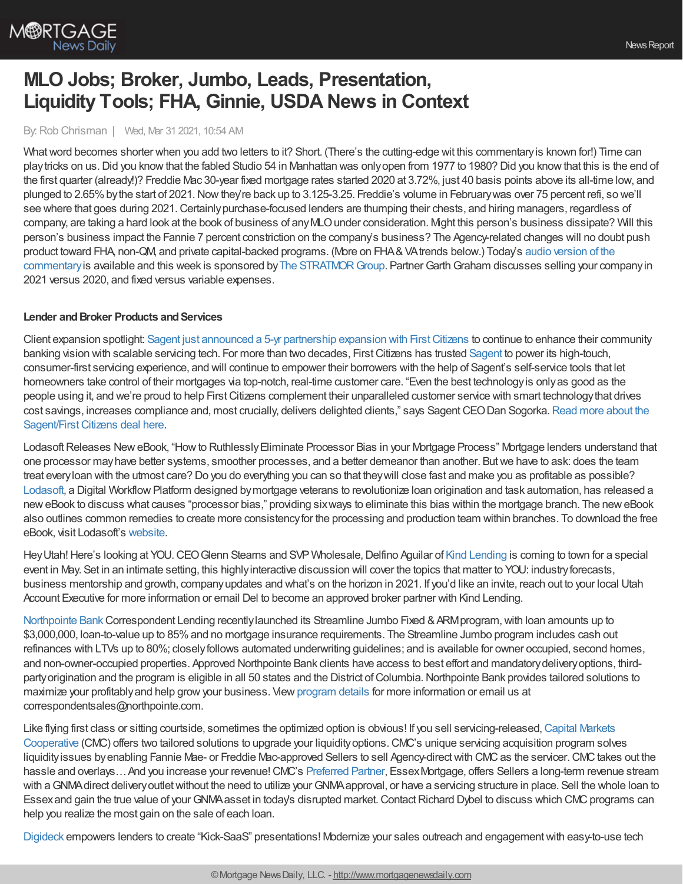

# **MLO Jobs; Broker, Jumbo, Leads, Presentation, Liquidity Tools; FHA, Ginnie, USDA News in Context**

By:Rob Chrisman | Wed, Mar 31 2021, 10:54 AM

What word becomes shorter when you add two letters to it? Short. (There's the cutting-edge wit this commentary is known for!) Time can play tricks on us. Did you know that the fabled Studio 54 in Manhattan was only open from 1977 to 1980? Did you know that this is the end of the first quarter (already!)? Freddie Mac 30-year fixed mortgage rates started 2020 at 3.72%, just 40 basis points above its all-time low, and plunged to 2.65%bythe start of 2021.Nowthey're back up to 3.125-3.25. Freddie's volume in Februarywas over 75 percent refi, so we'll see where that goes during 2021. Certainly purchase-focused lenders are thumping their chests, and hiring managers, regardless of company, are taking a hard look at the book of business of anyMLOunder consideration. Might this person's business dissipate? Will this person's business impact the Fannie 7 percent constriction on the company's business? The Agency-related changes will no doubt push product toward FHA, non-QM, and private capital-backed programs. (More on FHA&VAtrends below.) Today's audio version of the commentary is available and this week is sponsored by The STRATMOR Group. Partner Garth Graham discusses selling your company in 2021 versus 2020, and fixed versus variable expenses.

### **Lender** and **Broker Products** and **Services**

Client expansion spotlight: Sagent just announced a 5-yr partnership expansion with First Citizens to continue to enhance their community banking vision with scalable servicing tech. For more than two decades, First Citizens has trusted [Sagent](https://sagent.com/?utm_source=Advertisement&utm_medium=Chrisman%20Daily%20Commentary%20-%20Email&utm_campaign=Web%20Content%20%257C%202021-03-23%20First%20Citizens%20Renewal%20Press%20Release) to power its high-touch, consumer-first servicing experience, and will continue to empower their borrowers with the help of Sagent's self-service tools that let homeowners take control of their mortgages via top-notch, real-time customer care. "Even the best technologyis onlyas good as the people using it, and we're proud to help FirstCitizens complement their unparalleled customer service with smart technologythat drives cost savings, increases compliance and, most crucially, delivers delighted clients," says Sagent CEO Dan Sogorka. Read more about the Sagent/First Citizens deal here.

Lodasoft Releases New eBook, "How to Ruthlessly Eliminate Processor Bias in your Mortgage Process" Mortgage lenders understand that one processor mayhave better systems, smoother processes, and a better demeanor than another. Butwe have to ask: does the team treat everyloan with the utmost care? Do you do everything you can so that theywill close fast and make you as profitable as possible? [Lodasoft](https://www.lodasoft.com/), a Digital Workflow Platform designed by mortgage veterans to revolutionize loan origination and task automation, has released a neweBook to discuss what causes "processor bias," providing sixways to eliminate this bias within the mortgage branch. The neweBook also outlines common remedies to create more consistencyfor the processing and production team within branches. To download the free eBook, visit Lodasoft's [website.](https://pages.lodasoft.com/ebook)

Hey Utah! Here's looking at YOU. CEO Glenn Stearns and SVP Wholesale, Delfino Aguilar of Kind [Lending](https://www.kindlending.com/) is coming to town for a special event in May. Set in an intimate setting, this highlyinteractive discussion will cover the topics that matter to YOU: industryforecasts, business mentorship and growth, companyupdates and what's on the horizon in 2021. If you'd like an invite, reach out to your local Utah Account Executive for more information or email Del to become an approved broker partner with Kind Lending.

[Northpointe](https://www.northpointe.com/correspondent-lending/) Bank Correspondent Lending recently launched its Streamline Jumbo Fixed & ARM program, with loan amounts up to \$3,000,000, loan-to-value up to 85%and no mortgage insurance requirements. The Streamline Jumbo program includes cash out refinances with LTVs up to 80%; closelyfollows automated underwriting guidelines; and is available for owner occupied, second homes, and non-owner-occupied properties. Approved Northpointe Bank clients have access to best effort and mandatorydeliveryoptions, thirdparty origination and the program is eligible in all 50 states and the District of Columbia. Northpointe Bank provides tailored solutions to maximize your profitablyand help growyour business. View[program](https://www.northpointe.com/correspondent-lending/programs/streamline-jumbo/) details for more information or email us at correspondentsales@northpointe.com.

Like flying first class or sitting courtside, sometimes the optimized option is obvious! If you sell servicing-released, Capital Markets Cooperative (CMC) offers two tailored solutions to upgrade your liquidityoptions.CMC's unique servicing acquisition program solves liquidity issues by enabling Fannie Mae- or Freddie Mac-approved Sellers to sell Agency-direct with CMC as the servicer. CMC takes out the hassle and overlays... And you increase your revenue! CMC's [Preferred](https://www.capmkts.org/services/preferred-partner-program?utm_source=Chrisman&utm_medium=enewsletter&utm_campaign=march_2021) Partner, Essex Mortgage, offers Sellers a long-term revenue stream with a GNMA direct delivery outlet without the need to utilize your GNMA approval, or have a servicing structure in place. Sell the whole loan to Essex and gain the true value of your GNMA asset in today's disrupted market. Contact Richard Dybel to discuss which CMC programs can help you realize the most gain on the sale of each loan.

[Digideck](https://www.thedigideck.com/?utm_source=robchrisman&utm_medium=cpc&utm_campaign=newsletter&utm_content=) empowers lenders to create "Kick-SaaS" presentations! Modernize your sales outreach and engagement with easy-to-use tech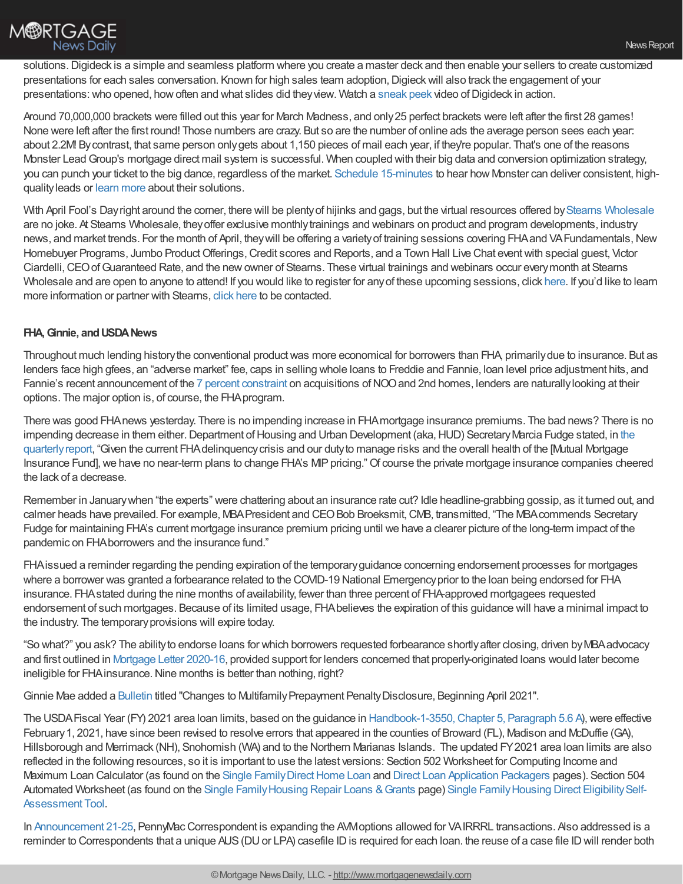solutions.Digideck is a simple and seamless platform where you create a master deck and then enable your sellers to create customized presentations for each sales conversation. Known for high sales team adoption, Digieck will also track the engagement of your presentations:who opened, howoften and what slides did theyview. Watch a [sneak](http://ddeck.io/604a4bdbbe133100144447b9) peek video ofDigideck in action.

Around 70,000,000 brackets were filled out this year for March Madness, and only25 perfect brackets were left after the first 28 games! None were left after the first round! Those numbers are crazy. But so are the number of online ads the average person sees each year: about 2.2M! Bycontrast, that same person onlygets about 1,150 pieces of mail each year, if they're popular. That's one of the reasons Monster LeadGroup's mortgage direct mail system is successful. When coupled with their big data and conversion optimization strategy, you can punch your ticket to the big dance, regardless of the market. Schedule [15-minutes](https://www.monsterleadgroup.com/demo?utm_medium=email&utm_source=Chrisman&utm_campaign=Chrisman+Newsletter&utm_content=Chrisman+Ad+2021-03-31) to hear how Monster can deliver consistent, highqualityleads or learn [more](https://www.monsterleadgroup.com/mortgage-direct-mail/sales-and-marketing?utm_medium=email&utm_source=Chrisman&utm_campaign=Chrisman+Newsletter&utm_content=Chrisman+Ad+2021-03-31) about their solutions.

With April Fool's Dayright around the corner, there will be plenty of hijinks and gags, but the virtual resources offered by Stearns [Wholesale](https://www.stearnswholesale.com/) are no joke. At Stearns Wholesale, theyoffer exclusive monthlytrainings and webinars on product and program developments, industry news, and market trends. For the month of April, they will be offering a variety of training sessions covering FHA and VA Fundamentals, New Homebuyer Programs, Jumbo Product Offerings, Credit scores and Reports, and a Town Hall Live Chat event with special guest, Victor Ciardelli,CEOofGuaranteed Rate, and the newowner of Stearns. These virtual trainings and webinars occur everymonth at Stearns Wholesale and are open to anyone to attend! If you would like to register for any of these upcoming sessions, click [here](https://fliphtml5.com/ihbcn/qrbb). If you'd like to learn more information or partner with Stearns, click [here](https://sites.totalexpert.net/event-registration/new-broker---chrisman-387548) to be contacted.

## **FHA, Ginnie, and USDA News**

Throughout much lending history the conventional product was more economical for borrowers than FHA, primarily due to insurance. But as lenders face high gfees, an "adverse market" fee, caps in selling whole loans to Freddie and Fannie, loan level price adjustment hits, and Fannie's recent announcement of the 7 percent [constraint](https://singlefamily.fanniemae.com/media/25286/display) on acquisitions of NOO and 2nd homes, lenders are naturally looking at their options. The major option is, of course, the FHAprogram.

There was good FHAnews yesterday. There is no impending increase in FHAmortgage insurance premiums. The bad news? There is no impending decrease in them either. Department of Housing and Urban Development (aka, HUD) Secretary Marcia Fudge stated, in the quarterlyreport, "Given the current [FHAdelinquencycrisis](https://www.hud.gov/sites/dfiles/Housing/images/MMIQtrlyQ12021.pdf) and our dutyto manage risks and the overall health of the [Mutual Mortgage Insurance Fund], we have no near-term plans to change FHA's MIP pricing." Of course the private mortgage insurance companies cheered the lack of a decrease.

Remember in Januarywhen "the experts" were chattering about an insurance rate cut? Idle headline-grabbing gossip, as it turned out, and calmer heads have prevailed. For example, MBA President and CEO Bob Broeksmit, CMB, transmitted, "The MBA commends Secretary Fudge for maintaining FHA's current mortgage insurance premium pricing until we have a clearer picture of the long-term impact of the pandemic on FHAborrowers and the insurance fund."

FHAissued a reminder regarding the pending expiration of the temporaryguidance concerning endorsement processes for mortgages where a borrower was granted a forbearance related to the COVID-19 National Emergencyprior to the loan being endorsed for FHA insurance. FHAstated during the nine months of availability, fewer than three percent of FHA-approved mortgagees requested endorsement of such mortgages. Because of its limited usage, FHAbelieves the expiration of this guidance will have a minimal impact to the industry. The temporaryprovisions will expire today.

"So what?" you ask? The abilityto endorse loans for which borrowers requested forbearance shortlyafter closing, driven byMBAadvocacy and first outlined in [Mortgage](https://www.hud.gov/sites/dfiles/OCHCO/documents/2020-16hsngml.pdf?) Letter 2020-16, provided support for lenders concerned that properly-originated loans would later become ineligible for FHA insurance. Nine months is better than nothing, right?

Ginnie Mae added a [Bulletin](https://www.ginniemae.gov/investors/disclosures_and_reports/Pages/BulletinsDispPage.aspx?ParamID=509) titled "Changes to Multifamily Prepayment Penalty Disclosure, Beginning April 2021".

The USDA Fiscal Year (FY) 2021 area loan limits, based on the guidance in Handbook-1-3550, Chapter 5, Paragraph 5.6 A), were effective February 1, 2021, have since been revised to resolve errors that appeared in the counties of Broward (FL), Madison and McDuffie (GA), Hillsborough and Merrimack (NH), Snohomish (WA) and to the Northern Marianas Islands. The updated FY2021 area loan limits are also reflected in the following resources, so it is important to use the latest versions: Section 502 Worksheet for Computing Income and Maximum Loan Calculator (as found on the Single Family Direct Home Loan and Direct Loan [Application](https://gcc02.safelinks.protection.outlook.com/?url=https%253A%252F%252Flnks.gd%252Fl%252FeyJhbGciOiJIUzI1NiJ9.eyJidWxsZXRpbl9saW5rX2lkIjoxMDQsInVyaSI6ImJwMjpjbGljayIsImJ1bGxldGluX2lkIjoiMjAyMDAxMzEuMTY0NDI2MTEiLCJ1cmwiOiJodHRwczovL2djYzAyLnNhZmVsaW5rcy5wcm90ZWN0aW9uLm91dGxvb2suY29tLz91cmw9aHR0cHMlM0ElMkYlMkZ3d3cucmQudXNkYS5nb3YlMkZwcm9ncmFtcy1zZXJ2aWNlcyUyRnNlcnZpY2VzJTJGZGlyZWN0LWxvYW4tYXBwbGljYXRpb24tcGFja2FnZXJzJmRhdGE9MDIlN0MwMSU3QyU3QzVjZjA0YjYwMTYxNTRiM2VjMWRjMDhkN2E2OGRkMjg5JTdDZWQ1YjM2ZTcwMWVlNGViYzg2N2VlMDNjZmEwZDQ2OTclN0MwJTdDMCU3QzYzNzE2MTAwMDM1NjQ2NDY3MiZzZGF0YT13b2NCM0JlUElpYyUyRmJNMllMYmppa0hsbldIYllacVpucTM3aXBOSXhuWTglM0QmcmVzZXJ2ZWQ9MCJ9.KwWiGg5A1D1m4szj7yFXpTnOV2ZhOusPMGA_HFhVfbU%252Fbr%252F74573997526-l&data=04%257C01%257C%257Ccc120d6db1c44e11ca1d08d8d8f5a91b%257Ced5b36e701ee4ebc867ee03cfa0d4697%257C0%257C0%257C637497896899024551%257CUnknown%257CTWFpbGZsb3d8eyJWIjoiMC4wLjAwMDAiLCJQIjoiV2luMzIiLCJBTiI6Ik1haWwiLCJXVCI6Mn0%253D%257C1000&sdata=5HUOIP3uzP5LY%252B7eYDjqIHN9zvr7KrA1eoNns8USI%252FY%253D&reserved=0) Packagers pages). Section 504 Automated Worksheet (as found on the Single Family Housing Repair Loans & Grants page) Single Family Housing Direct Eligibility Self-Assessment Tool.

In [Announcement](https://www.gopennymac.com/announcements/announcement-21-25) 21-25, PennyMacCorrespondent is expanding the AVMoptions allowed for VAIRRRL transactions. Also addressed is a reminder to Correspondents that a unique AUS (DU or LPA) casefile ID is required for each loan. the reuse of a case file ID will render both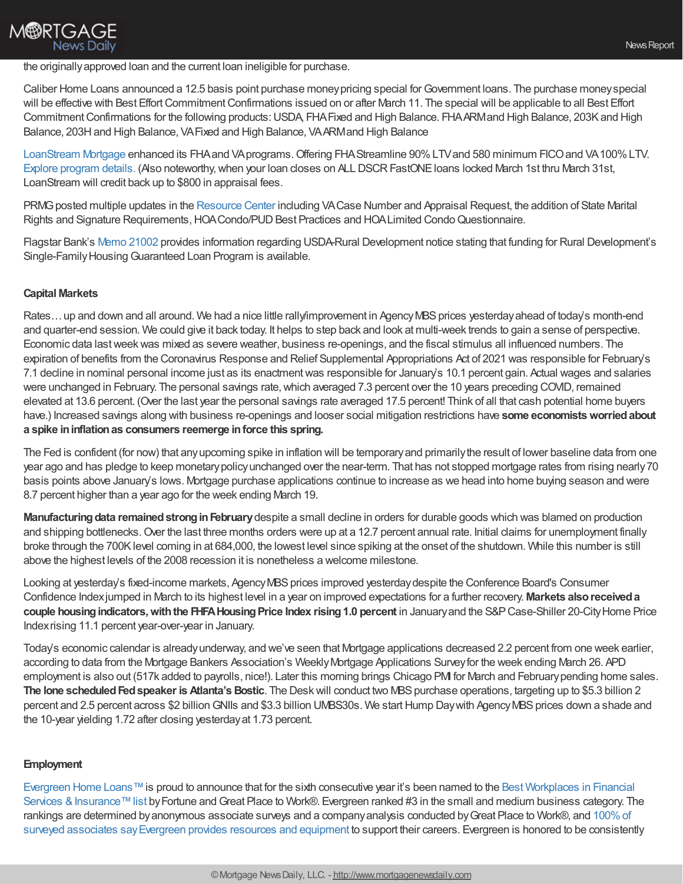# **M®RTGAGE News Daily**

#### the originallyapproved loan and the current loan ineligible for purchase.

Caliber Home Loans announced a 12.5 basis point purchase moneypricing special forGovernment loans. The purchase moneyspecial will be effective with Best Effort Commitment Confirmations issued on or after March 11. The special will be applicable to all Best Effort Commitment Confirmations for the following products: USDA, FHA Fixed and High Balance. FHAARMand High Balance, 203K and High Balance, 203H and High Balance, VA Fixed and High Balance, VA ARM and High Balance

[LoanStream](http://www.loanstreamwholesale.com/) Mortgage enhanced its FHAand VAprograms. Offering FHAStreamline 90% LTV and 580 minimum FICO and VA100% LTV. Explore [program](https://loanstreamwholesale.com/rates-enter/?) details. (Also noteworthy, when your loan closes on ALL DSCR FastONE loans locked March 1st thru March 31st, LoanStream will credit back up to \$800 in appraisal fees.

PRMG posted multiple updates in the [Resource](https://www.eprmg.net/ResourceCenter/WholesaleRC.pdf) Center including VACase Number and Appraisal Request, the addition of State Marital Rights and Signature Requirements, HOA Condo/PUD Best Practices and HOA Limited Condo Questionnaire.

Flagstar Bank's Memo [21002](https://www.flagstar.com/content/dam/tpo/sellers-guide/announcements/21002.pdf) provides information regarding USDA-Rural Development notice stating that funding for Rural Development's Single-Family Housing Guaranteed Loan Program is available.

## **Capital Markets**

Rates... up and down and all around. We had a nice little rally/improvement in Agency MBS prices yesterday ahead of today's month-end and quarter-end session. We could give it back today. It helps to step back and look at multi-week trends to gain a sense of perspective. Economic data lastweekwas mixed as severe weather, business re-openings, and the fiscal stimulus all influenced numbers. The expiration of benefits from the Coronavirus Response and Relief Supplemental Appropriations Act of 2021 was responsible for February's 7.1 decline in nominal personal income just as its enactmentwas responsible for January's 10.1 percent gain. Actual wages and salaries were unchanged in February. The personal savings rate, which averaged 7.3 percent over the 10 years preceding COVID, remained elevated at 13.6 percent. (Over the last year the personal savings rate averaged 17.5 percent! Think of all that cash potential home buyers have.) Increased savings along with business re-openings and looser social mitigation restrictions have **some economistsworriedabout a spike ininflationas consumers reemerge inforce this spring.**

The Fed is confident (for now) that anyupcoming spike in inflation will be temporaryand primarilythe result of lower baseline data from one year ago and has pledge to keep monetarypolicyunchanged over the near-term. That has not stopped mortgage rates from rising nearly70 basis points above January's lows. Mortgage purchase applications continue to increase as we head into home buying season and were 8.7 percent higher than a year ago for the week ending March 19.

**Manufacturing data remained strong in February** despite a small decline in orders for durable goods which was blamed on production and shipping bottlenecks. Over the last three months orders were up at a 12.7 percent annual rate. Initial claims for unemployment finally broke through the 700K level coming in at 684,000, the lowest level since spiking at the onset of the shutdown. While this number is still above the highest levels of the 2008 recession it is nonetheless a welcome milestone.

Looking at yesterday's fixed-income markets, Agency MBS prices improved yesterday despite the Conference Board's Consumer Confidence Indexjumped in March to its highest level in a year on improved expectations for a further recovery. **Markets alsoreceiveda couple housingindicators,withthe FHFAHousingPrice Index rising1.0 percent** in Januaryand the S&PCase-Shiller 20-CityHome Price Indexrising 11.1 percent year-over-year in January.

Today's economic calendar is alreadyunderway, and we've seen that Mortgage applications decreased 2.2 percent from one week earlier, according to data from the Mortgage Bankers Association's WeeklyMortgage Applications Surveyfor the week ending March 26. APD employment is also out (517k added to payrolls, nice!). Later this morning brings Chicago PMI for March and Februarypending home sales. **The lone scheduled Fed speaker is Atlanta's Bostic. The Desk will conduct two MBS purchase operations, targeting up to \$5.3 billion 2** percent and 2.5 percent across \$2 billion GNIIs and \$3.3 billion UMBS30s. We start Hump Day with Agency MBS prices down a shade and the 10-year yielding 1.72 after closing yesterdayat 1.73 percent.

## **Employment**

[Evergreen](https://www.evergreenhomeloans.com/) Home Loans™is proud to announce that for the sixth consecutive year it's been named to the Best Workplaces in Financial Services & Insurance™ list by Fortune and Great Place to Work®. Evergreen ranked #3 in the small and medium business category. The rankings are determined by anonymous associate surveys and a company analysis conducted by Great Place to Work®, and 100% of surveyed associates say Evergreen provides resources and equipment to support their careers. Evergreen is honored to be consistently